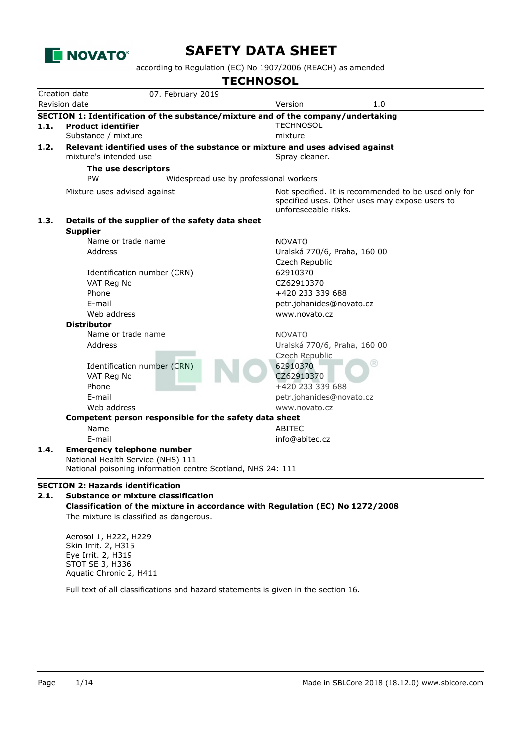

Aerosol 1, H222, H229 Skin Irrit. 2, H315 Eye Irrit. 2, H319 STOT SE 3, H336 Aquatic Chronic 2, H411

Full text of all classifications and hazard statements is given in the section 16.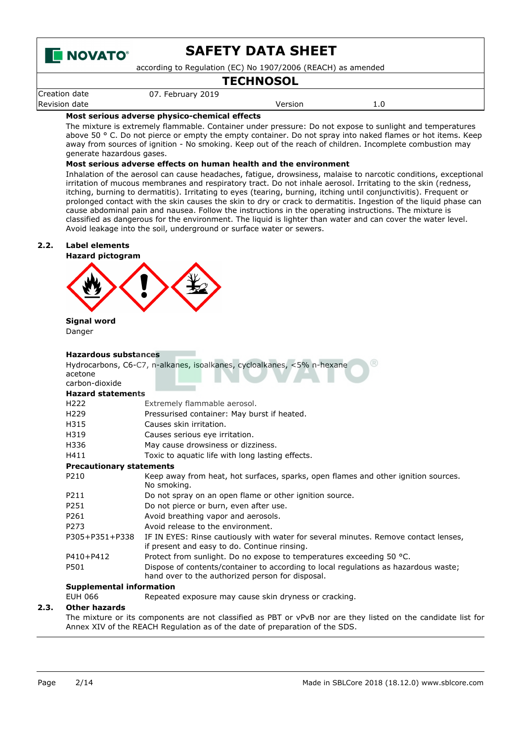

according to Regulation (EC) No 1907/2006 (REACH) as amended

# **TECHNOSOL**

Creation date 07. February 2019 Revision date **Version** 2.0

### **Most serious adverse physico-chemical effects**

The mixture is extremely flammable. Container under pressure: Do not expose to sunlight and temperatures above 50 ° C. Do not pierce or empty the empty container. Do not spray into naked flames or hot items. Keep away from sources of ignition - No smoking. Keep out of the reach of children. Incomplete combustion may generate hazardous gases.

#### **Most serious adverse effects on human health and the environment**

Inhalation of the aerosol can cause headaches, fatigue, drowsiness, malaise to narcotic conditions, exceptional irritation of mucous membranes and respiratory tract. Do not inhale aerosol. Irritating to the skin (redness, itching, burning to dermatitis). Irritating to eyes (tearing, burning, itching until conjunctivitis). Frequent or prolonged contact with the skin causes the skin to dry or crack to dermatitis. Ingestion of the liquid phase can cause abdominal pain and nausea. Follow the instructions in the operating instructions. The mixture is classified as dangerous for the environment. The liquid is lighter than water and can cover the water level. Avoid leakage into the soil, underground or surface water or sewers.

#### **2.2. Label elements**



#### **Signal word** Danger

#### **Hazardous substances**

|                                 | ( R )                                                                                                                                   |  |  |  |
|---------------------------------|-----------------------------------------------------------------------------------------------------------------------------------------|--|--|--|
| acetone                         | Hydrocarbons, C6-C7, n-alkanes, isoalkanes, cycloalkanes, <5% n-hexane                                                                  |  |  |  |
| carbon-dioxide                  |                                                                                                                                         |  |  |  |
|                                 |                                                                                                                                         |  |  |  |
| <b>Hazard statements</b>        |                                                                                                                                         |  |  |  |
| H <sub>222</sub>                | Extremely flammable aerosol.                                                                                                            |  |  |  |
| H <sub>229</sub>                | Pressurised container: May burst if heated.                                                                                             |  |  |  |
| H315                            | Causes skin irritation.                                                                                                                 |  |  |  |
| H319                            | Causes serious eye irritation.                                                                                                          |  |  |  |
| H336                            | May cause drowsiness or dizziness.                                                                                                      |  |  |  |
| H411                            | Toxic to aquatic life with long lasting effects.                                                                                        |  |  |  |
| <b>Precautionary statements</b> |                                                                                                                                         |  |  |  |
| P210                            | Keep away from heat, hot surfaces, sparks, open flames and other ignition sources.<br>No smoking.                                       |  |  |  |
| P211                            | Do not spray on an open flame or other ignition source.                                                                                 |  |  |  |
| P251                            | Do not pierce or burn, even after use.                                                                                                  |  |  |  |
| P261                            | Avoid breathing vapor and aerosols.                                                                                                     |  |  |  |
| P273                            | Avoid release to the environment.                                                                                                       |  |  |  |
| P305+P351+P338                  | IF IN EYES: Rinse cautiously with water for several minutes. Remove contact lenses,<br>if present and easy to do. Continue rinsing.     |  |  |  |
| P410+P412                       | Protect from sunlight. Do no expose to temperatures exceeding 50 $^{\circ}$ C.                                                          |  |  |  |
| P501                            | Dispose of contents/container to according to local regulations as hazardous waste;<br>hand over to the authorized person for disposal. |  |  |  |
| <b>Supplemental information</b> |                                                                                                                                         |  |  |  |

EUH 066 Repeated exposure may cause skin dryness or cracking.

### **2.3. Other hazards**

The mixture or its components are not classified as PBT or vPvB nor are they listed on the candidate list for Annex XIV of the REACH Regulation as of the date of preparation of the SDS.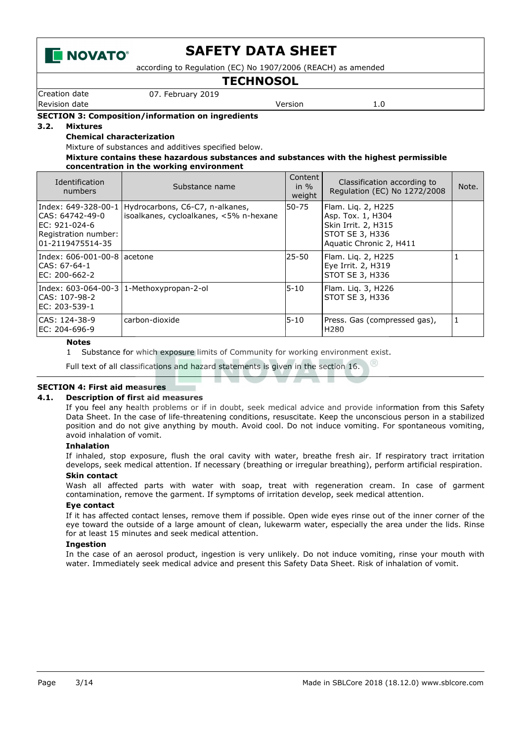

according to Regulation (EC) No 1907/2006 (REACH) as amended

# **TECHNOSOL**

Creation date 07. February 2019

Revision date **Version** 2.0

#### **SECTION 3: Composition/information on ingredients**

#### **3.2. Mixtures**

**Chemical characterization**

Mixture of substances and additives specified below.

#### **Mixture contains these hazardous substances and substances with the highest permissible concentration in the working environment**

| Identification<br>numbers                                                                             | Substance name                                                            | Content<br>in $\%$<br>weight | Classification according to<br>Regulation (EC) No 1272/2008                                                  | Note. |
|-------------------------------------------------------------------------------------------------------|---------------------------------------------------------------------------|------------------------------|--------------------------------------------------------------------------------------------------------------|-------|
| Index: 649-328-00-1<br>ICAS: 64742-49-0<br>IEC: 921-024-6<br>Registration number:<br>01-2119475514-35 | Hydrocarbons, C6-C7, n-alkanes,<br>isoalkanes, cycloalkanes, <5% n-hexane | 50-75                        | Flam. Lig. 2, H225<br>Asp. Tox. 1, H304<br>Skin Irrit. 2, H315<br>STOT SE 3, H336<br>Aquatic Chronic 2, H411 |       |
| CAS: 67-64-1<br>EC: 200-662-2                                                                         |                                                                           | $25 - 50$                    | Flam. Liq. 2, H225<br>Eye Irrit. 2, H319<br>STOT SE 3, H336                                                  |       |
| CAS: 107-98-2<br>EC: 203-539-1                                                                        | Index: 603-064-00-3   1-Methoxypropan-2-ol                                | $5 - 10$                     | Flam. Lig. 3, H226<br>STOT SE 3, H336                                                                        |       |
| CAS: 124-38-9<br>EC: 204-696-9                                                                        | carbon-dioxide                                                            | $5 - 10$                     | Press. Gas (compressed gas),<br>H <sub>280</sub>                                                             | 1     |

#### **Notes**

1 Substance for which exposure limits of Community for working environment exist.

Full text of all classifications and hazard statements is given in the section 16.

#### **SECTION 4: First aid measures**

#### **4.1. Description of first aid measures**

If you feel any health problems or if in doubt, seek medical advice and provide information from this Safety Data Sheet. In the case of life-threatening conditions, resuscitate. Keep the unconscious person in a stabilized position and do not give anything by mouth. Avoid cool. Do not induce vomiting. For spontaneous vomiting, avoid inhalation of vomit.

#### **Inhalation**

If inhaled, stop exposure, flush the oral cavity with water, breathe fresh air. If respiratory tract irritation develops, seek medical attention. If necessary (breathing or irregular breathing), perform artificial respiration.

#### **Skin contact**

Wash all affected parts with water with soap, treat with regeneration cream. In case of garment contamination, remove the garment. If symptoms of irritation develop, seek medical attention.

#### **Eye contact**

If it has affected contact lenses, remove them if possible. Open wide eyes rinse out of the inner corner of the eye toward the outside of a large amount of clean, lukewarm water, especially the area under the lids. Rinse for at least 15 minutes and seek medical attention.

#### **Ingestion**

In the case of an aerosol product, ingestion is very unlikely. Do not induce vomiting, rinse your mouth with water. Immediately seek medical advice and present this Safety Data Sheet. Risk of inhalation of vomit.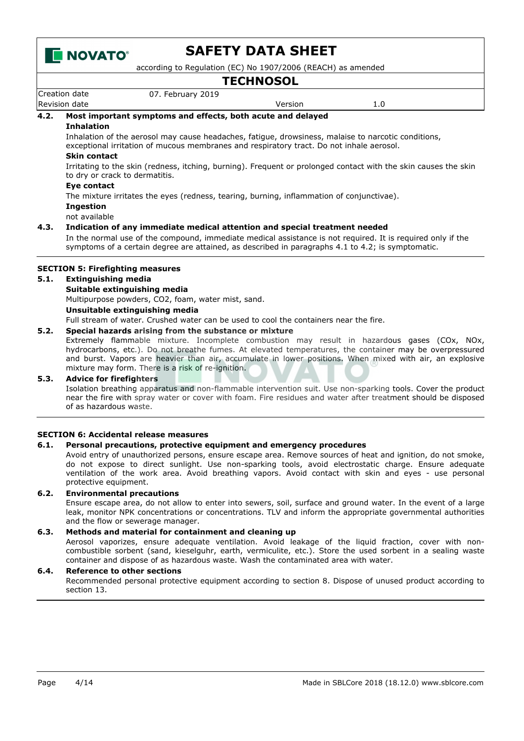

according to Regulation (EC) No 1907/2006 (REACH) as amended

Creation date 07. February 2019 Revision date **Version** 2.0 **TECHNOSOL 4.2. Most important symptoms and effects, both acute and delayed Inhalation** Inhalation of the aerosol may cause headaches, fatigue, drowsiness, malaise to narcotic conditions, exceptional irritation of mucous membranes and respiratory tract. Do not inhale aerosol. **Skin contact** Irritating to the skin (redness, itching, burning). Frequent or prolonged contact with the skin causes the skin to dry or crack to dermatitis. **Eye contact** The mixture irritates the eyes (redness, tearing, burning, inflammation of conjunctivae). **Ingestion** not available **4.3. Indication of any immediate medical attention and special treatment needed** In the normal use of the compound, immediate medical assistance is not required. It is required only if the symptoms of a certain degree are attained, as described in paragraphs 4.1 to 4.2; is symptomatic. **SECTION 5: Firefighting measures 5.1. Extinguishing media Suitable extinguishing media** Multipurpose powders, CO2, foam, water mist, sand. **Unsuitable extinguishing media** Full stream of water. Crushed water can be used to cool the containers near the fire.

### **5.2. Special hazards arising from the substance or mixture**

Extremely flammable mixture. Incomplete combustion may result in hazardous gases (COx, NOx, hydrocarbons, etc.). Do not breathe fumes. At elevated temperatures, the container may be overpressured and burst. Vapors are heavier than air, accumulate in lower positions. When mixed with air, an explosive mixture may form. There is a risk of re-ignition.

#### **5.3. Advice for firefighters**

Isolation breathing apparatus and non-flammable intervention suit. Use non-sparking tools. Cover the product near the fire with spray water or cover with foam. Fire residues and water after treatment should be disposed of as hazardous waste.

#### **SECTION 6: Accidental release measures**

#### **6.1. Personal precautions, protective equipment and emergency procedures**

Avoid entry of unauthorized persons, ensure escape area. Remove sources of heat and ignition, do not smoke, do not expose to direct sunlight. Use non-sparking tools, avoid electrostatic charge. Ensure adequate ventilation of the work area. Avoid breathing vapors. Avoid contact with skin and eyes - use personal protective equipment.

#### **6.2. Environmental precautions**

Ensure escape area, do not allow to enter into sewers, soil, surface and ground water. In the event of a large leak, monitor NPK concentrations or concentrations. TLV and inform the appropriate governmental authorities and the flow or sewerage manager.

#### **6.3. Methods and material for containment and cleaning up**

Aerosol vaporizes, ensure adequate ventilation. Avoid leakage of the liquid fraction, cover with noncombustible sorbent (sand, kieselguhr, earth, vermiculite, etc.). Store the used sorbent in a sealing waste container and dispose of as hazardous waste. Wash the contaminated area with water.

#### **6.4. Reference to other sections**

Recommended personal protective equipment according to section 8. Dispose of unused product according to section 13.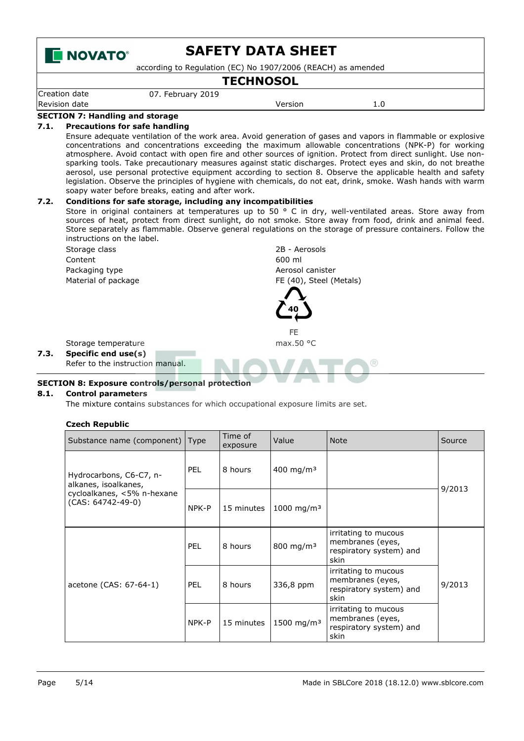

according to Regulation (EC) No 1907/2006 (REACH) as amended

### **TECHNOSOL**

Creation date 07. February 2019 Revision date **Version** 2.0

#### **SECTION 7: Handling and storage 7.1. Precautions for safe handling**

Ensure adequate ventilation of the work area. Avoid generation of gases and vapors in flammable or explosive concentrations and concentrations exceeding the maximum allowable concentrations (NPK-P) for working atmosphere. Avoid contact with open fire and other sources of ignition. Protect from direct sunlight. Use nonsparking tools. Take precautionary measures against static discharges. Protect eyes and skin, do not breathe aerosol, use personal protective equipment according to section 8. Observe the applicable health and safety legislation. Observe the principles of hygiene with chemicals, do not eat, drink, smoke. Wash hands with warm soapy water before breaks, eating and after work.

### **7.2. Conditions for safe storage, including any incompatibilities**

Store in original containers at temperatures up to 50 ° C in dry, well-ventilated areas. Store away from sources of heat, protect from direct sunlight, do not smoke. Store away from food, drink and animal feed. Store separately as flammable. Observe general regulations on the storage of pressure containers. Follow the instructions on the label.



#### **8.1. Control parameters**

The mixture contains substances for which occupational exposure limits are set.

#### **Czech Republic**

| Substance name (component) Type                   |            | Time of<br>exposure | Value                  | <b>Note</b>                                                                 | Source |
|---------------------------------------------------|------------|---------------------|------------------------|-----------------------------------------------------------------------------|--------|
| Hydrocarbons, C6-C7, n-<br>alkanes, isoalkanes,   | <b>PEL</b> | 8 hours             | 400 mg/m <sup>3</sup>  |                                                                             | 9/2013 |
| cycloalkanes, <5% n-hexane<br>$(CAS: 64742-49-0)$ | NPK-P      | 15 minutes          | 1000 mg/m <sup>3</sup> |                                                                             |        |
|                                                   | <b>PEL</b> | 8 hours             | 800 mg/m <sup>3</sup>  | irritating to mucous<br>membranes (eyes,<br>respiratory system) and<br>skin |        |
| acetone (CAS: 67-64-1)                            | <b>PEL</b> | 8 hours             | 336,8 ppm              | irritating to mucous<br>membranes (eyes,<br>respiratory system) and<br>skin | 9/2013 |
|                                                   | NPK-P      | 15 minutes          | 1500 mg/m <sup>3</sup> | irritating to mucous<br>membranes (eyes,<br>respiratory system) and<br>skin |        |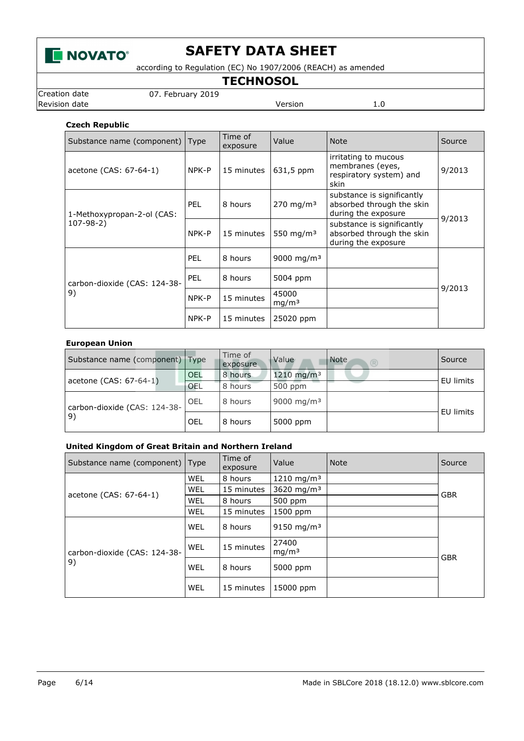

according to Regulation (EC) No 1907/2006 (REACH) as amended

**TECHNOSOL**

Creation date 07. February 2019

Revision date **Version** 1.0

### **Czech Republic**

| Substance name (component) Type    |            | Time of<br>exposure | Value                      | <b>Note</b>                                                                    | Source |
|------------------------------------|------------|---------------------|----------------------------|--------------------------------------------------------------------------------|--------|
| acetone (CAS: 67-64-1)             | NPK-P      | 15 minutes          | 631,5 ppm                  | irritating to mucous<br>membranes (eyes,<br>respiratory system) and<br>skin    | 9/2013 |
| 1-Methoxypropan-2-ol (CAS:         | <b>PEL</b> | 8 hours             | $270 \; mg/m3$             | substance is significantly<br>absorbed through the skin<br>during the exposure | 9/2013 |
| $107 - 98 - 2)$                    | NPK-P      | 15 minutes          | 550 mg/m <sup>3</sup>      | substance is significantly<br>absorbed through the skin<br>during the exposure |        |
|                                    | <b>PEL</b> | 8 hours             | 9000 mg/m <sup>3</sup>     |                                                                                |        |
| carbon-dioxide (CAS: 124-38-<br>9) | <b>PEL</b> | 8 hours             | 5004 ppm                   |                                                                                |        |
|                                    | NPK-P      | 15 minutes          | 45000<br>mq/m <sup>3</sup> |                                                                                | 9/2013 |
|                                    | NPK-P      | 15 minutes          | 25020 ppm                  |                                                                                |        |

### **European Union**

| Substance name (component) Type |            | Time of<br>exposure | Value<br>Note<br>(R)   | Source    |
|---------------------------------|------------|---------------------|------------------------|-----------|
| acetone (CAS: 67-64-1)          | <b>OEL</b> | 8 hours             | 1210 mg/m <sup>3</sup> | EU limits |
|                                 | OEL        | 8 hours             | 500 ppm                |           |
| carbon-dioxide (CAS: 124-38-    | OEL        | 8 hours             | 9000 mg/m <sup>3</sup> | EU limits |
| 9)                              | OEL        | 8 hours             | 5000 ppm               |           |

### **United Kingdom of Great Britain and Northern Ireland**

| Substance name (component) Type    |            | Time of<br>exposure | Value                      | <b>Note</b> | Source     |
|------------------------------------|------------|---------------------|----------------------------|-------------|------------|
|                                    | WEL        | 8 hours             | $1210 \; \text{mg/m}^3$    |             |            |
|                                    | <b>WEL</b> | 15 minutes          | 3620 mg/m <sup>3</sup>     |             | <b>GBR</b> |
| acetone (CAS: 67-64-1)             | <b>WEL</b> | 8 hours             | 500 ppm                    |             |            |
|                                    | WEL        | 15 minutes          | 1500 ppm                   |             |            |
|                                    | <b>WEL</b> | 8 hours             | $9150 \text{ mg/m}^3$      |             |            |
| carbon-dioxide (CAS: 124-38-<br>9) | WEL        | 15 minutes          | 27400<br>mg/m <sup>3</sup> |             | <b>GBR</b> |
|                                    | WEL        | 8 hours             | 5000 ppm                   |             |            |
|                                    | <b>WEL</b> | 15 minutes          | 15000 ppm                  |             |            |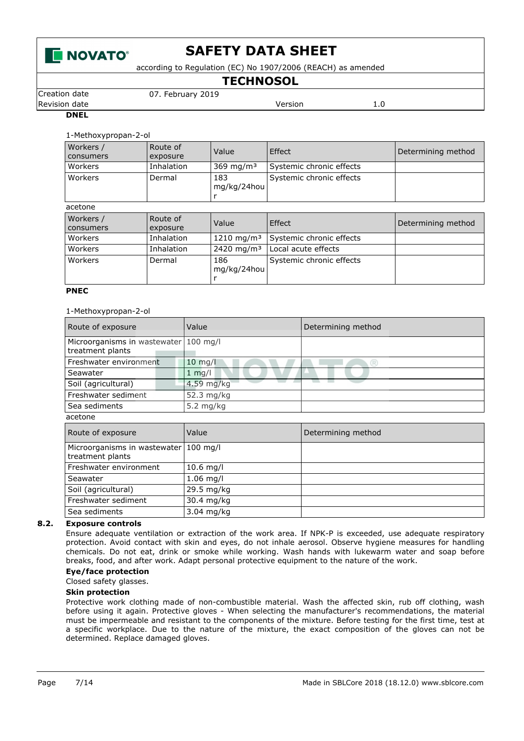

according to Regulation (EC) No 1907/2006 (REACH) as amended

**TECHNOSOL**

Creation date 07. February 2019

Revision date **Version** 2.0

#### **DNEL**

1-Methoxypropan-2-ol

| Workers /<br><b>consumers</b> | Route of<br>exposure | Value                  | Effect                   | Determining method |
|-------------------------------|----------------------|------------------------|--------------------------|--------------------|
| Workers                       | Inhalation           | 369 mg/m <sup>3</sup>  | Systemic chronic effects |                    |
| Workers                       | Dermal               | 183<br>mg/kg/24hou     | Systemic chronic effects |                    |
| acetone                       |                      |                        |                          |                    |
|                               |                      |                        |                          |                    |
| Workers /<br>consumers        | Route of<br>exposure | Value                  | Effect                   | Determining method |
| Workers                       | Inhalation           | 1210 mg/m <sup>3</sup> | Systemic chronic effects |                    |
| Workers                       | Inhalation           | 2420 mg/m <sup>3</sup> | Local acute effects      |                    |

#### **PNEC**

#### 1-Methoxypropan-2-ol

| Route of exposure                                | Value            | Determining method |  |  |  |
|--------------------------------------------------|------------------|--------------------|--|--|--|
| Microorganisms in wastewater<br>treatment plants | $100$ mg/l       |                    |  |  |  |
| Freshwater environment                           | $10$ mg/l        |                    |  |  |  |
| Seawater                                         | $1 \text{ mq/l}$ |                    |  |  |  |
| Soil (agricultural)                              | 4.59 mg/kg       |                    |  |  |  |
| Freshwater sediment                              | 52.3 mg/kg       |                    |  |  |  |
| Sea sediments                                    | $5.2$ mg/kg      |                    |  |  |  |
| acetone                                          |                  |                    |  |  |  |
| Route of exposure                                | Value            | Determining method |  |  |  |
| Microorganisms in wastewater 100 mg/l            |                  |                    |  |  |  |

| Microorganisms in wastewater   100 mg/l |                      |  |
|-----------------------------------------|----------------------|--|
| treatment plants                        |                      |  |
| Freshwater environment                  | $10.6$ mg/l          |  |
| Seawater                                | $1.06$ mg/l          |  |
| Soil (agricultural)                     | 29.5 mg/kg           |  |
| Freshwater sediment                     | 30.4 mg/kg           |  |
| Sea sediments                           | $3.04 \text{ mg/kg}$ |  |

### **8.2. Exposure controls**

Ensure adequate ventilation or extraction of the work area. If NPK-P is exceeded, use adequate respiratory protection. Avoid contact with skin and eyes, do not inhale aerosol. Observe hygiene measures for handling chemicals. Do not eat, drink or smoke while working. Wash hands with lukewarm water and soap before breaks, food, and after work. Adapt personal protective equipment to the nature of the work.

#### **Eye/face protection**

Closed safety glasses.

#### **Skin protection**

Protective work clothing made of non-combustible material. Wash the affected skin, rub off clothing, wash before using it again. Protective gloves - When selecting the manufacturer's recommendations, the material must be impermeable and resistant to the components of the mixture. Before testing for the first time, test at a specific workplace. Due to the nature of the mixture, the exact composition of the gloves can not be determined. Replace damaged gloves.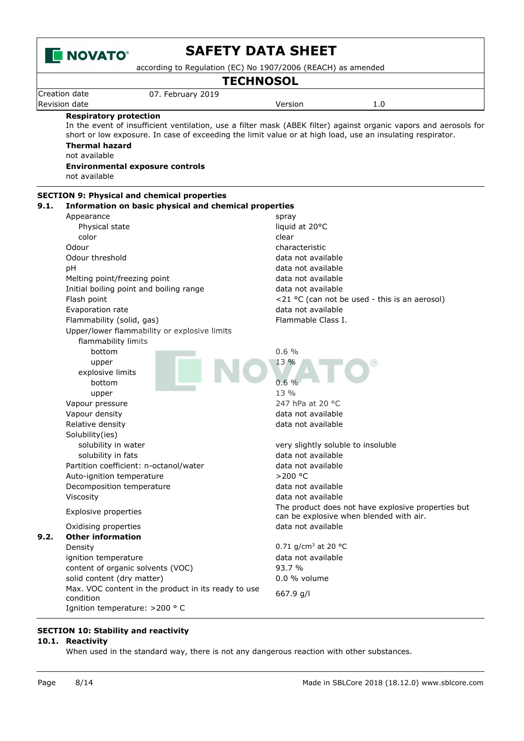

according to Regulation (EC) No 1907/2006 (REACH) as amended

### **TECHNOSOL**

|        | Creation date    | 2019<br>07.1<br>. ebruary |         |     |  |
|--------|------------------|---------------------------|---------|-----|--|
| $\sim$ | Revision<br>date |                           | /ersion | 1.U |  |

#### **Respiratory protection**

In the event of insufficient ventilation, use a filter mask (ABEK filter) against organic vapors and aerosols for short or low exposure. In case of exceeding the limit value or at high load, use an insulating respirator. **Thermal hazard**

not available

**Environmental exposure controls**

not available

|      | <b>SECTION 9: Physical and chemical properties</b>    |                                                    |
|------|-------------------------------------------------------|----------------------------------------------------|
| 9.1. | Information on basic physical and chemical properties |                                                    |
|      | Appearance                                            | spray                                              |
|      | Physical state                                        | liquid at 20°C                                     |
|      | color                                                 | clear                                              |
|      | Odour                                                 | characteristic                                     |
|      | Odour threshold                                       | data not available                                 |
|      | рH                                                    | data not available                                 |
|      | Melting point/freezing point                          | data not available                                 |
|      | Initial boiling point and boiling range               | data not available                                 |
|      | Flash point                                           | <21 °C (can not be used - this is an aerosol)      |
|      | Evaporation rate                                      | data not available                                 |
|      | Flammability (solid, gas)                             | Flammable Class I.                                 |
|      | Upper/lower flammability or explosive limits          |                                                    |
|      | flammability limits                                   |                                                    |
|      | bottom                                                | 0.6%                                               |
|      | upper                                                 | 13 %                                               |
|      | explosive limits                                      |                                                    |
|      | bottom                                                | 0.6%                                               |
|      | upper                                                 | 13 %                                               |
|      | Vapour pressure                                       | 247 hPa at 20 °C                                   |
|      | Vapour density                                        | data not available                                 |
|      | Relative density                                      | data not available                                 |
|      | Solubility(ies)                                       |                                                    |
|      | solubility in water                                   | very slightly soluble to insoluble                 |
|      | solubility in fats                                    | data not available                                 |
|      | Partition coefficient: n-octanol/water                | data not available                                 |
|      | Auto-ignition temperature                             | >200 °C                                            |
|      | Decomposition temperature                             | data not available                                 |
|      | Viscosity                                             | data not available                                 |
|      |                                                       | The product does not have explosive properties but |
|      | <b>Explosive properties</b>                           | can be explosive when blended with air.            |
|      | Oxidising properties                                  | data not available                                 |
| 9.2. | <b>Other information</b>                              |                                                    |
|      | Density                                               | 0.71 $q/cm^3$ at 20 °C                             |
|      | ignition temperature                                  | data not available                                 |
|      | content of organic solvents (VOC)                     | 93.7 %                                             |
|      | solid content (dry matter)                            | $0.0$ % volume                                     |
|      | Max. VOC content in the product in its ready to use   |                                                    |
|      | condition                                             | 667.9 g/l                                          |
|      | Ignition temperature: >200 ° C                        |                                                    |

# **SECTION 10: Stability and reactivity**

### **10.1. Reactivity**

When used in the standard way, there is not any dangerous reaction with other substances.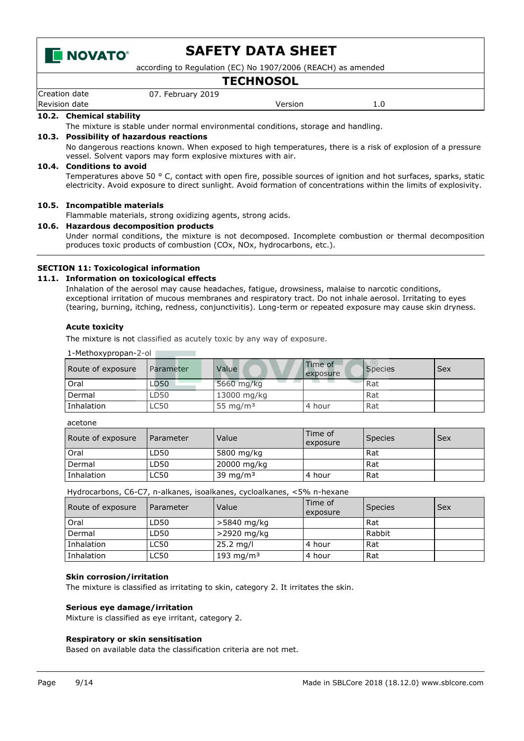

according to Regulation (EC) No 1907/2006 (REACH) as amended

### **TECHNOSOL**

| Creation<br>date | 2019<br>February<br>07<br>___ |             |                      |
|------------------|-------------------------------|-------------|----------------------|
| Revision<br>date |                               | ersion<br>. | <b>L.U</b><br>$\sim$ |

### **10.2. Chemical stability**

The mixture is stable under normal environmental conditions, storage and handling.

#### **10.3. Possibility of hazardous reactions**

No dangerous reactions known. When exposed to high temperatures, there is a risk of explosion of a pressure vessel. Solvent vapors may form explosive mixtures with air.

#### **10.4. Conditions to avoid**

Temperatures above 50 ° C, contact with open fire, possible sources of ignition and hot surfaces, sparks, static electricity. Avoid exposure to direct sunlight. Avoid formation of concentrations within the limits of explosivity.

#### **10.5. Incompatible materials**

Flammable materials, strong oxidizing agents, strong acids.

#### **10.6. Hazardous decomposition products**

Under normal conditions, the mixture is not decomposed. Incomplete combustion or thermal decomposition produces toxic products of combustion (COx, NOx, hydrocarbons, etc.).

#### **SECTION 11: Toxicological information**

#### **11.1. Information on toxicological effects**

Inhalation of the aerosol may cause headaches, fatigue, drowsiness, malaise to narcotic conditions, exceptional irritation of mucous membranes and respiratory tract. Do not inhale aerosol. Irritating to eyes (tearing, burning, itching, redness, conjunctivitis). Long-term or repeated exposure may cause skin dryness.

#### **Acute toxicity**

The mixture is not classified as acutely toxic by any way of exposure.

| 1-Methoxypropan-2-ol |           |             |                     |                |            |
|----------------------|-----------|-------------|---------------------|----------------|------------|
| Route of exposure    | Parameter | Value       | Time of<br>exposure | <b>Species</b> | <b>Sex</b> |
| Oral                 | LD50      | 5660 mg/kg  |                     | Rat            |            |
| Dermal               | LD50      | 13000 mg/kg |                     | Rat            |            |
| Inhalation           | LC50      | 55 mg/m $3$ | 4 hour              | Rat            |            |

#### acetone

| Route of exposure | Parameter | Value       | Time of<br>exposure | <b>Species</b> | Sex |
|-------------------|-----------|-------------|---------------------|----------------|-----|
| Oral              | LD50      | 5800 mg/kg  |                     | Rat            |     |
| Dermal            | LD50      | 20000 mg/kg |                     | Rat            |     |
| Inhalation        | LC50      | 39 mg/m $3$ | ⊥4 hour             | Rat            |     |

Hydrocarbons, C6-C7, n-alkanes, isoalkanes, cycloalkanes, <5% n-hexane

| Route of exposure | Parameter | Value                 | Time of<br>exposure | <b>Species</b> | Sex |
|-------------------|-----------|-----------------------|---------------------|----------------|-----|
| Oral              | LD50      | >5840 mg/kg           |                     | Rat            |     |
| Dermal            | LD50      | >2920 mg/kg           |                     | Rabbit         |     |
| Inhalation        | LC50      | $25.2 \text{ mq/l}$   | 4 hour              | Rat            |     |
| Inhalation        | LC50      | 193 mg/m <sup>3</sup> | 4 hour              | Rat            |     |

#### **Skin corrosion/irritation**

The mixture is classified as irritating to skin, category 2. It irritates the skin.

#### **Serious eye damage/irritation**

Mixture is classified as eye irritant, category 2.

#### **Respiratory or skin sensitisation**

Based on available data the classification criteria are not met.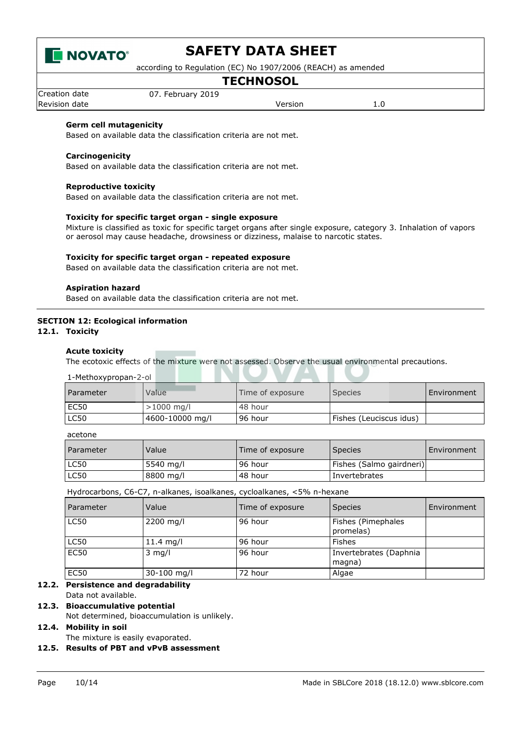

according to Regulation (EC) No 1907/2006 (REACH) as amended

# **TECHNOSOL**

Creation date 07. February 2019 Revision date **Version** 2.0

#### **Germ cell mutagenicity**

Based on available data the classification criteria are not met.

#### **Carcinogenicity**

Based on available data the classification criteria are not met.

#### **Reproductive toxicity**

Based on available data the classification criteria are not met.

#### **Toxicity for specific target organ - single exposure**

Mixture is classified as toxic for specific target organs after single exposure, category 3. Inhalation of vapors or aerosol may cause headache, drowsiness or dizziness, malaise to narcotic states.

#### **Toxicity for specific target organ - repeated exposure**

Based on available data the classification criteria are not met.

#### **Aspiration hazard**

Based on available data the classification criteria are not met.

#### **SECTION 12: Ecological information**

**12.1. Toxicity**

#### **Acute toxicity**

The ecotoxic effects of the mixture were not assessed. Observe the usual environmental precautions.

| 1-Methoxypropan-2-ol |                 |                  |                         |             |
|----------------------|-----------------|------------------|-------------------------|-------------|
| <b>Parameter</b>     | Value           | Time of exposure | Species                 | Environment |
| <b>EC50</b>          | $>1000$ mg/l    | . 48 hour        |                         |             |
| LC50                 | 4600-10000 mg/l | 96 hour          | Fishes (Leuciscus idus) |             |

W A

. .

acetone

| Parameter   | Value      | Time of exposure | <b>Species</b>           | Environment |
|-------------|------------|------------------|--------------------------|-------------|
| LC50        | .5540 mg/l | . 96 hour        | Fishes (Salmo gairdneri) |             |
| <b>LC50</b> | 8800 mg/l  | 48 hour          | l Invertebrates          |             |

Hydrocarbons, C6-C7, n-alkanes, isoalkanes, cycloalkanes, <5% n-hexane

| <b>Parameter</b> | Value       | Time of exposure | <b>Species</b>                   | Environment |
|------------------|-------------|------------------|----------------------------------|-------------|
| <b>LC50</b>      | 2200 mg/l   | 96 hour          | Fishes (Pimephales<br>promelas)  |             |
| <b>LC50</b>      | 11.4 $mg/l$ | 96 hour          | Fishes                           |             |
| <b>EC50</b>      | $3$ mg/l    | 96 hour          | Invertebrates (Daphnia<br>magna) |             |
| <b>EC50</b>      | 30-100 mg/l | 72 hour          | Algae                            |             |

### **12.2. Persistence and degradability**

#### Data not available. **12.3. Bioaccumulative potential**

Not determined, bioaccumulation is unlikely.

#### **12.4. Mobility in soil**

The mixture is easily evaporated.

#### **12.5. Results of PBT and vPvB assessment**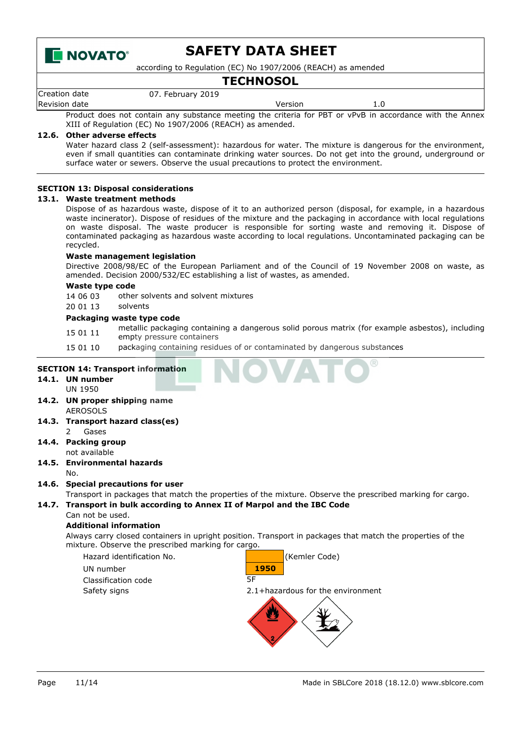

according to Regulation (EC) No 1907/2006 (REACH) as amended

## **TECHNOSOL**

| Creation date |  | 07. February 2019 |         |  |                                                                                                          |  |  |
|---------------|--|-------------------|---------|--|----------------------------------------------------------------------------------------------------------|--|--|
| Revision date |  |                   | Version |  |                                                                                                          |  |  |
|               |  |                   |         |  | Product does not contain any substance meeting the criteria for PBT or vPvB in accordance with the Annex |  |  |

XIII of Regulation (EC) No 1907/2006 (REACH) as amended.

#### **12.6. Other adverse effects**

Water hazard class 2 (self-assessment): hazardous for water. The mixture is dangerous for the environment, even if small quantities can contaminate drinking water sources. Do not get into the ground, underground or surface water or sewers. Observe the usual precautions to protect the environment.

#### **SECTION 13: Disposal considerations**

#### **13.1. Waste treatment methods**

Dispose of as hazardous waste, dispose of it to an authorized person (disposal, for example, in a hazardous waste incinerator). Dispose of residues of the mixture and the packaging in accordance with local regulations on waste disposal. The waste producer is responsible for sorting waste and removing it. Dispose of contaminated packaging as hazardous waste according to local regulations. Uncontaminated packaging can be recycled.

#### **Waste management legislation**

Directive 2008/98/EC of the European Parliament and of the Council of 19 November 2008 on waste, as amended. Decision 2000/532/EC establishing a list of wastes, as amended.

#### **Waste type code**

14 06 03 other solvents and solvent mixtures

# 20 01 13 solvents

#### **Packaging waste type code**

- 15 01 11 metallic packaging containing a dangerous solid porous matrix (for example asbestos), including empty pressure containers
- 15 01 10 packaging containing residues of or contaminated by dangerous substances

#### **SECTION 14: Transport information**

- **14.1. UN number** UN 1950
- **14.2. UN proper shipping name** AEROSOLS
- **14.3. Transport hazard class(es)** 2 Gases
- **14.4. Packing group** not available
- **14.5. Environmental hazards** No.
- **14.6. Special precautions for user**

Transport in packages that match the properties of the mixture. Observe the prescribed marking for cargo. **14.7. Transport in bulk according to Annex II of Marpol and the IBC Code**

Can not be used.

#### **Additional information**

Always carry closed containers in upright position. Transport in packages that match the properties of the mixture. Observe the prescribed marking for cargo.

Hazard identification No. (Kemler Code) UN number **1950** Classification code 5F Safety signs 2.1+hazardous for the environment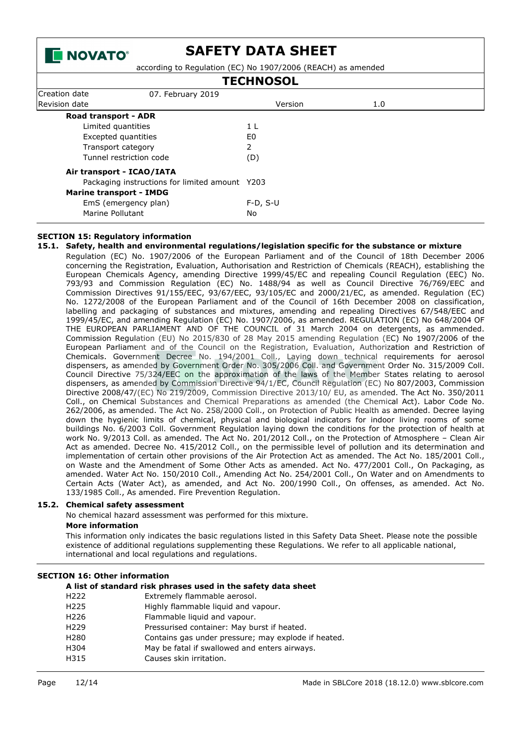

according to Regulation (EC) No 1907/2006 (REACH) as amended

| <b>TECHNOSOL</b>                               |            |     |  |
|------------------------------------------------|------------|-----|--|
| Creation date<br>07. February 2019             |            |     |  |
| Revision date                                  | Version    | 1.0 |  |
| Road transport - ADR                           |            |     |  |
| Limited quantities                             | 1 L        |     |  |
| Excepted quantities                            | E0         |     |  |
| Transport category                             | 2          |     |  |
| Tunnel restriction code                        | (D)        |     |  |
| Air transport - ICAO/IATA                      |            |     |  |
| Packaging instructions for limited amount Y203 |            |     |  |
| <b>Marine transport - IMDG</b>                 |            |     |  |
| EmS (emergency plan)                           | $F-D, S-U$ |     |  |
| Marine Pollutant                               | No         |     |  |

#### **SECTION 15: Regulatory information**

#### **15.1. Safety, health and environmental regulations/legislation specific for the substance or mixture**

Regulation (EC) No. 1907/2006 of the European Parliament and of the Council of 18th December 2006 concerning the Registration, Evaluation, Authorisation and Restriction of Chemicals (REACH), establishing the European Chemicals Agency, amending Directive 1999/45/EC and repealing Council Regulation (EEC) No. 793/93 and Commission Regulation (EC) No. 1488/94 as well as Council Directive 76/769/EEC and Commission Directives 91/155/EEC, 93/67/EEC, 93/105/EC and 2000/21/EC, as amended. Regulation (EC) No. 1272/2008 of the European Parliament and of the Council of 16th December 2008 on classification, labelling and packaging of substances and mixtures, amending and repealing Directives 67/548/EEC and 1999/45/EC, and amending Regulation (EC) No. 1907/2006, as amended. REGULATION (EC) No 648/2004 OF THE EUROPEAN PARLIAMENT AND OF THE COUNCIL of 31 March 2004 on detergents, as ammended. Commission Regulation (EU) No 2015/830 of 28 May 2015 amending Regulation (EC) No 1907/2006 of the European Parliament and of the Council on the Registration, Evaluation, Authorization and Restriction of Chemicals. Government Decree No. 194/2001 Coll., Laying down technical requirements for aerosol dispensers, as amended by Government Order No. 305/2006 Coll. and Government Order No. 315/2009 Coll. Council Directive 75/324/EEC on the approximation of the laws of the Member States relating to aerosol dispensers, as amended by Commission Directive 94/1/EC, Council Regulation (EC) No 807/2003, Commission Directive 2008/47/(EC) No 219/2009, Commission Directive 2013/10/ EU, as amended. The Act No. 350/2011 Coll., on Chemical Substances and Chemical Preparations as amended (the Chemical Act). Labor Code No. 262/2006, as amended. The Act No. 258/2000 Coll., on Protection of Public Health as amended. Decree laying down the hygienic limits of chemical, physical and biological indicators for indoor living rooms of some buildings No. 6/2003 Coll. Government Regulation laying down the conditions for the protection of health at work No. 9/2013 Coll. as amended. The Act No. 201/2012 Coll., on the Protection of Atmosphere – Clean Air Act as amended. Decree No. 415/2012 Coll., on the permissible level of pollution and its determination and implementation of certain other provisions of the Air Protection Act as amended. The Act No. 185/2001 Coll., on Waste and the Amendment of Some Other Acts as amended. Act No. 477/2001 Coll., On Packaging, as amended. Water Act No. 150/2010 Coll., Amending Act No. 254/2001 Coll., On Water and on Amendments to Certain Acts (Water Act), as amended, and Act No. 200/1990 Coll., On offenses, as amended. Act No. 133/1985 Coll., As amended. Fire Prevention Regulation.

#### **15.2. Chemical safety assessment**

No chemical hazard assessment was performed for this mixture.

#### **More information**

This information only indicates the basic regulations listed in this Safety Data Sheet. Please note the possible existence of additional regulations supplementing these Regulations. We refer to all applicable national, international and local regulations and regulations.

#### **SECTION 16: Other information**

|                  | A list of standard risk phrases used in the safety data sheet |
|------------------|---------------------------------------------------------------|
| H222             | Extremely flammable aerosol.                                  |
| H225             | Highly flammable liquid and vapour.                           |
| H226             | Flammable liquid and vapour.                                  |
| H <sub>229</sub> | Pressurised container: May burst if heated.                   |
| H280             | Contains gas under pressure; may explode if heated.           |
| H304             | May be fatal if swallowed and enters airways.                 |
| H315             | Causes skin irritation.                                       |
|                  |                                                               |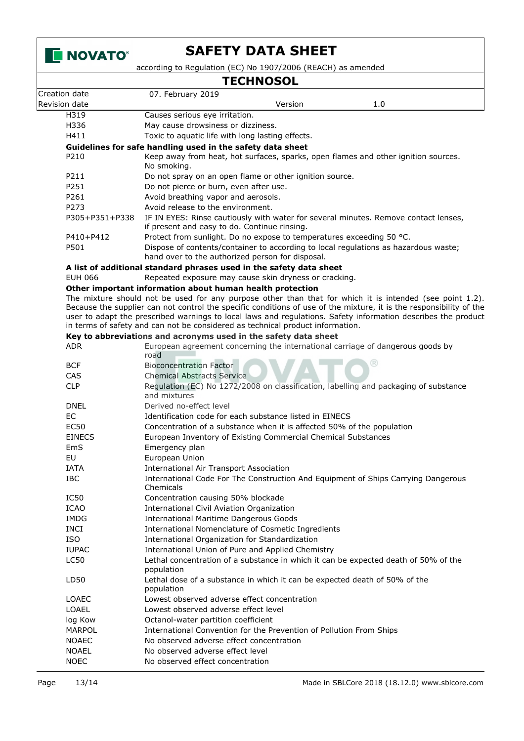

according to Regulation (EC) No 1907/2006 (REACH) as amended

# **TECHNOSOL**

|                | IECHNOSOL                                                                                                                                                                                                                                                                                                                                                                                                                          |
|----------------|------------------------------------------------------------------------------------------------------------------------------------------------------------------------------------------------------------------------------------------------------------------------------------------------------------------------------------------------------------------------------------------------------------------------------------|
| Creation date  | 07. February 2019                                                                                                                                                                                                                                                                                                                                                                                                                  |
| Revision date  | Version<br>1.0                                                                                                                                                                                                                                                                                                                                                                                                                     |
| H319           | Causes serious eye irritation.                                                                                                                                                                                                                                                                                                                                                                                                     |
| H336           | May cause drowsiness or dizziness.                                                                                                                                                                                                                                                                                                                                                                                                 |
| H411           | Toxic to aquatic life with long lasting effects.                                                                                                                                                                                                                                                                                                                                                                                   |
|                | Guidelines for safe handling used in the safety data sheet                                                                                                                                                                                                                                                                                                                                                                         |
| P210           | Keep away from heat, hot surfaces, sparks, open flames and other ignition sources.<br>No smoking.                                                                                                                                                                                                                                                                                                                                  |
| P211           | Do not spray on an open flame or other ignition source.                                                                                                                                                                                                                                                                                                                                                                            |
| P251           | Do not pierce or burn, even after use.                                                                                                                                                                                                                                                                                                                                                                                             |
| P261           | Avoid breathing vapor and aerosols.                                                                                                                                                                                                                                                                                                                                                                                                |
| P273           | Avoid release to the environment.                                                                                                                                                                                                                                                                                                                                                                                                  |
| P305+P351+P338 | IF IN EYES: Rinse cautiously with water for several minutes. Remove contact lenses,<br>if present and easy to do. Continue rinsing.                                                                                                                                                                                                                                                                                                |
| P410+P412      | Protect from sunlight. Do no expose to temperatures exceeding 50 °C.                                                                                                                                                                                                                                                                                                                                                               |
| P501           | Dispose of contents/container to according to local regulations as hazardous waste;<br>hand over to the authorized person for disposal.                                                                                                                                                                                                                                                                                            |
|                | A list of additional standard phrases used in the safety data sheet                                                                                                                                                                                                                                                                                                                                                                |
| EUH 066        | Repeated exposure may cause skin dryness or cracking.                                                                                                                                                                                                                                                                                                                                                                              |
|                | Other important information about human health protection                                                                                                                                                                                                                                                                                                                                                                          |
|                | The mixture should not be used for any purpose other than that for which it is intended (see point 1.2).<br>Because the supplier can not control the specific conditions of use of the mixture, it is the responsibility of the<br>user to adapt the prescribed warnings to local laws and regulations. Safety information describes the product<br>in terms of safety and can not be considered as technical product information. |
|                | Key to abbreviations and acronyms used in the safety data sheet                                                                                                                                                                                                                                                                                                                                                                    |
| <b>ADR</b>     | European agreement concerning the international carriage of dangerous goods by<br>road                                                                                                                                                                                                                                                                                                                                             |
| <b>BCF</b>     | <b>Bioconcentration Factor</b>                                                                                                                                                                                                                                                                                                                                                                                                     |
| <b>CAS</b>     | <b>Chemical Abstracts Service</b>                                                                                                                                                                                                                                                                                                                                                                                                  |
| <b>CLP</b>     | Regulation (EC) No 1272/2008 on classification, labelling and packaging of substance<br>and mixtures                                                                                                                                                                                                                                                                                                                               |
| <b>DNEL</b>    | Derived no-effect level                                                                                                                                                                                                                                                                                                                                                                                                            |
| EC             | Identification code for each substance listed in EINECS                                                                                                                                                                                                                                                                                                                                                                            |
| <b>EC50</b>    | Concentration of a substance when it is affected 50% of the population                                                                                                                                                                                                                                                                                                                                                             |
| <b>EINECS</b>  | European Inventory of Existing Commercial Chemical Substances                                                                                                                                                                                                                                                                                                                                                                      |
| EmS            | Emergency plan                                                                                                                                                                                                                                                                                                                                                                                                                     |
| EU             | European Union                                                                                                                                                                                                                                                                                                                                                                                                                     |
| <b>IATA</b>    | <b>International Air Transport Association</b>                                                                                                                                                                                                                                                                                                                                                                                     |
| <b>IBC</b>     | International Code For The Construction And Equipment of Ships Carrying Dangerous<br>Chemicals                                                                                                                                                                                                                                                                                                                                     |
| IC50           | Concentration causing 50% blockade                                                                                                                                                                                                                                                                                                                                                                                                 |
| <b>ICAO</b>    | <b>International Civil Aviation Organization</b>                                                                                                                                                                                                                                                                                                                                                                                   |
| IMDG           | <b>International Maritime Dangerous Goods</b>                                                                                                                                                                                                                                                                                                                                                                                      |
| <b>INCI</b>    | International Nomenclature of Cosmetic Ingredients                                                                                                                                                                                                                                                                                                                                                                                 |
| <b>ISO</b>     | International Organization for Standardization                                                                                                                                                                                                                                                                                                                                                                                     |
| <b>IUPAC</b>   | International Union of Pure and Applied Chemistry                                                                                                                                                                                                                                                                                                                                                                                  |
| <b>LC50</b>    | Lethal concentration of a substance in which it can be expected death of 50% of the<br>population                                                                                                                                                                                                                                                                                                                                  |
| LD50           | Lethal dose of a substance in which it can be expected death of 50% of the<br>population                                                                                                                                                                                                                                                                                                                                           |
| <b>LOAEC</b>   | Lowest observed adverse effect concentration                                                                                                                                                                                                                                                                                                                                                                                       |
| LOAEL          | Lowest observed adverse effect level                                                                                                                                                                                                                                                                                                                                                                                               |
| log Kow        | Octanol-water partition coefficient                                                                                                                                                                                                                                                                                                                                                                                                |
| MARPOL         | International Convention for the Prevention of Pollution From Ships                                                                                                                                                                                                                                                                                                                                                                |
| <b>NOAEC</b>   | No observed adverse effect concentration                                                                                                                                                                                                                                                                                                                                                                                           |
| <b>NOAEL</b>   | No observed adverse effect level                                                                                                                                                                                                                                                                                                                                                                                                   |
| <b>NOEC</b>    | No observed effect concentration                                                                                                                                                                                                                                                                                                                                                                                                   |